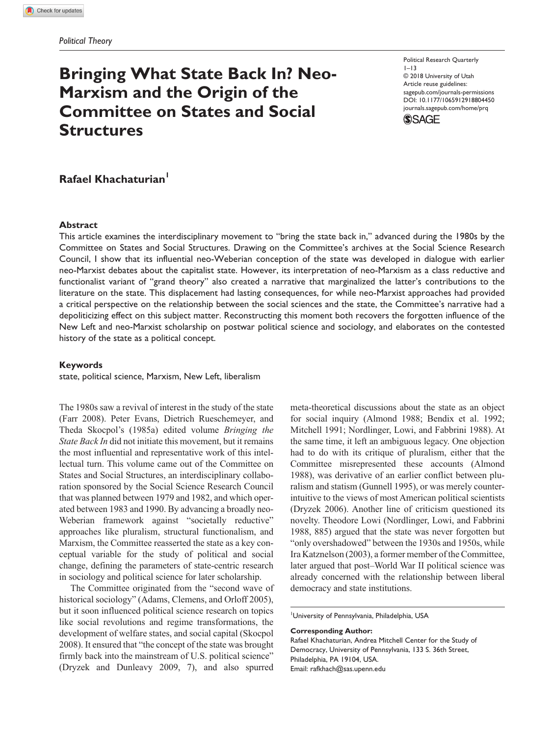# **Bringing What State Back In? Neo-Marxism and the Origin of the Committee on States and Social Structures**

Political Research Quarterly  $1 - 13$ © 2018 University of Utah Article reuse guidelines: [sagepub.com/journals-permissions](https://us.sagepub.com/en-us/journals-permissions) DOI: 10.1177/1065912918804450 [journals.sagepub.com/home/prq](https://journals.sagepub.com/home/prq) **SSAGE** 

**Rafael Khachaturian** 

#### **Abstract**

This article examines the interdisciplinary movement to "bring the state back in," advanced during the 1980s by the Committee on States and Social Structures. Drawing on the Committee's archives at the Social Science Research Council, I show that its influential neo-Weberian conception of the state was developed in dialogue with earlier neo-Marxist debates about the capitalist state. However, its interpretation of neo-Marxism as a class reductive and functionalist variant of "grand theory" also created a narrative that marginalized the latter's contributions to the literature on the state. This displacement had lasting consequences, for while neo-Marxist approaches had provided a critical perspective on the relationship between the social sciences and the state, the Committee's narrative had a depoliticizing effect on this subject matter. Reconstructing this moment both recovers the forgotten influence of the New Left and neo-Marxist scholarship on postwar political science and sociology, and elaborates on the contested history of the state as a political concept.

#### **Keywords**

state, political science, Marxism, New Left, liberalism

The 1980s saw a revival of interest in the study of the state (Farr 2008). Peter Evans, Dietrich Rueschemeyer, and Theda Skocpol's (1985a) edited volume *Bringing the State Back In* did not initiate this movement, but it remains the most influential and representative work of this intellectual turn. This volume came out of the Committee on States and Social Structures, an interdisciplinary collaboration sponsored by the Social Science Research Council that was planned between 1979 and 1982, and which operated between 1983 and 1990. By advancing a broadly neo-Weberian framework against "societally reductive" approaches like pluralism, structural functionalism, and Marxism, the Committee reasserted the state as a key conceptual variable for the study of political and social change, defining the parameters of state-centric research in sociology and political science for later scholarship.

The Committee originated from the "second wave of historical sociology" (Adams, Clemens, and Orloff 2005), but it soon influenced political science research on topics like social revolutions and regime transformations, the development of welfare states, and social capital (Skocpol 2008). It ensured that "the concept of the state was brought firmly back into the mainstream of U.S. political science" (Dryzek and Dunleavy 2009, 7), and also spurred meta-theoretical discussions about the state as an object for social inquiry (Almond 1988; Bendix et al. 1992; Mitchell 1991; Nordlinger, Lowi, and Fabbrini 1988). At the same time, it left an ambiguous legacy. One objection had to do with its critique of pluralism, either that the Committee misrepresented these accounts (Almond 1988), was derivative of an earlier conflict between pluralism and statism (Gunnell 1995), or was merely counterintuitive to the views of most American political scientists (Dryzek 2006). Another line of criticism questioned its novelty. Theodore Lowi (Nordlinger, Lowi, and Fabbrini 1988, 885) argued that the state was never forgotten but "only overshadowed" between the 1930s and 1950s, while Ira Katznelson (2003), a former member of the Committee, later argued that post–World War II political science was already concerned with the relationship between liberal democracy and state institutions.

1 University of Pennsylvania, Philadelphia, USA

**Corresponding Author:**

Rafael Khachaturian, Andrea Mitchell Center for the Study of Democracy, University of Pennsylvania, 133 S. 36th Street, Philadelphia, PA 19104, USA. Email: [rafkhach@sas.upenn.edu](mailto:rafkhach@sas.upenn.edu)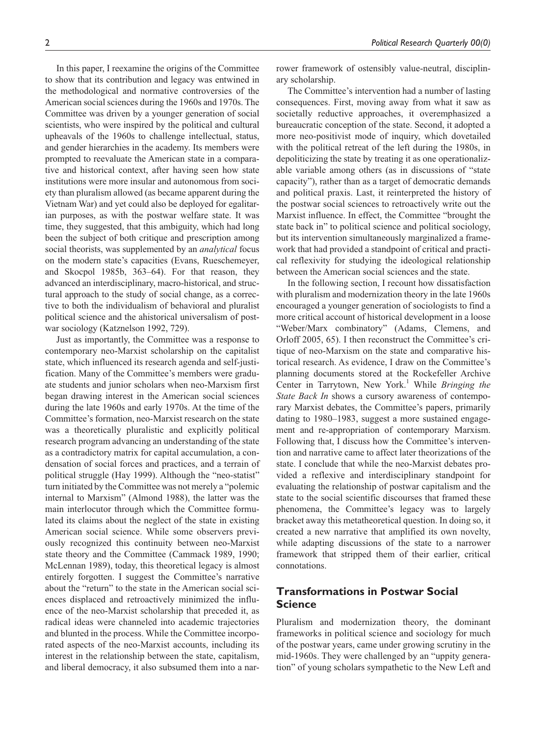In this paper, I reexamine the origins of the Committee to show that its contribution and legacy was entwined in the methodological and normative controversies of the American social sciences during the 1960s and 1970s. The Committee was driven by a younger generation of social scientists, who were inspired by the political and cultural upheavals of the 1960s to challenge intellectual, status, and gender hierarchies in the academy. Its members were prompted to reevaluate the American state in a comparative and historical context, after having seen how state institutions were more insular and autonomous from society than pluralism allowed (as became apparent during the Vietnam War) and yet could also be deployed for egalitarian purposes, as with the postwar welfare state. It was time, they suggested, that this ambiguity, which had long been the subject of both critique and prescription among social theorists, was supplemented by an *analytical* focus on the modern state's capacities (Evans, Rueschemeyer, and Skocpol 1985b, 363–64). For that reason, they advanced an interdisciplinary, macro-historical, and structural approach to the study of social change, as a corrective to both the individualism of behavioral and pluralist political science and the ahistorical universalism of postwar sociology (Katznelson 1992, 729).

Just as importantly, the Committee was a response to contemporary neo-Marxist scholarship on the capitalist state, which influenced its research agenda and self-justification. Many of the Committee's members were graduate students and junior scholars when neo-Marxism first began drawing interest in the American social sciences during the late 1960s and early 1970s. At the time of the Committee's formation, neo-Marxist research on the state was a theoretically pluralistic and explicitly political research program advancing an understanding of the state as a contradictory matrix for capital accumulation, a condensation of social forces and practices, and a terrain of political struggle (Hay 1999). Although the "neo-statist" turn initiated by the Committee was not merely a "polemic internal to Marxism" (Almond 1988), the latter was the main interlocutor through which the Committee formulated its claims about the neglect of the state in existing American social science. While some observers previously recognized this continuity between neo-Marxist state theory and the Committee (Cammack 1989, 1990; McLennan 1989), today, this theoretical legacy is almost entirely forgotten. I suggest the Committee's narrative about the "return" to the state in the American social sciences displaced and retroactively minimized the influence of the neo-Marxist scholarship that preceded it, as radical ideas were channeled into academic trajectories and blunted in the process. While the Committee incorporated aspects of the neo-Marxist accounts, including its interest in the relationship between the state, capitalism, and liberal democracy, it also subsumed them into a narrower framework of ostensibly value-neutral, disciplinary scholarship.

The Committee's intervention had a number of lasting consequences. First, moving away from what it saw as societally reductive approaches, it overemphasized a bureaucratic conception of the state. Second, it adopted a more neo-positivist mode of inquiry, which dovetailed with the political retreat of the left during the 1980s, in depoliticizing the state by treating it as one operationalizable variable among others (as in discussions of "state capacity"), rather than as a target of democratic demands and political praxis. Last, it reinterpreted the history of the postwar social sciences to retroactively write out the Marxist influence. In effect, the Committee "brought the state back in" to political science and political sociology, but its intervention simultaneously marginalized a framework that had provided a standpoint of critical and practical reflexivity for studying the ideological relationship between the American social sciences and the state.

In the following section, I recount how dissatisfaction with pluralism and modernization theory in the late 1960s encouraged a younger generation of sociologists to find a more critical account of historical development in a loose "Weber/Marx combinatory" (Adams, Clemens, and Orloff 2005, 65). I then reconstruct the Committee's critique of neo-Marxism on the state and comparative historical research. As evidence, I draw on the Committee's planning documents stored at the Rockefeller Archive Center in Tarrytown, New York.<sup>1</sup> While *Bringing the State Back In* shows a cursory awareness of contemporary Marxist debates, the Committee's papers, primarily dating to 1980–1983, suggest a more sustained engagement and re-appropriation of contemporary Marxism. Following that, I discuss how the Committee's intervention and narrative came to affect later theorizations of the state. I conclude that while the neo-Marxist debates provided a reflexive and interdisciplinary standpoint for evaluating the relationship of postwar capitalism and the state to the social scientific discourses that framed these phenomena, the Committee's legacy was to largely bracket away this metatheoretical question. In doing so, it created a new narrative that amplified its own novelty, while adapting discussions of the state to a narrower framework that stripped them of their earlier, critical connotations.

## **Transformations in Postwar Social Science**

Pluralism and modernization theory, the dominant frameworks in political science and sociology for much of the postwar years, came under growing scrutiny in the mid-1960s. They were challenged by an "uppity generation" of young scholars sympathetic to the New Left and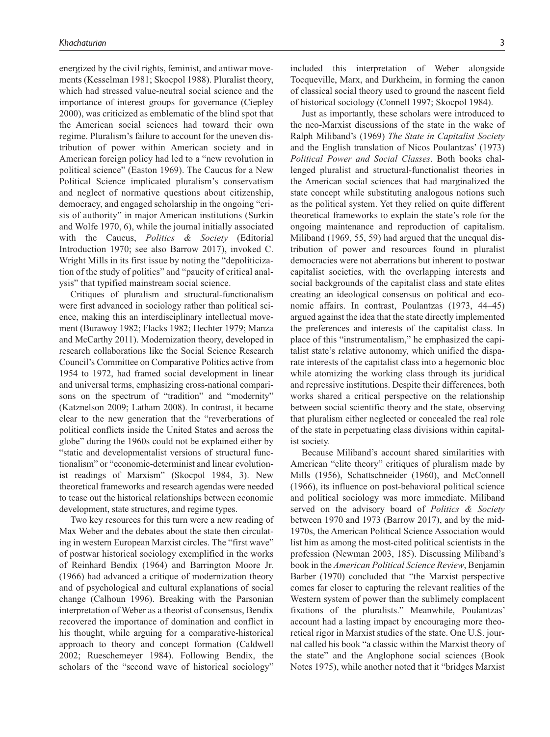energized by the civil rights, feminist, and antiwar movements (Kesselman 1981; Skocpol 1988). Pluralist theory, which had stressed value-neutral social science and the importance of interest groups for governance (Ciepley 2000), was criticized as emblematic of the blind spot that the American social sciences had toward their own regime. Pluralism's failure to account for the uneven distribution of power within American society and in American foreign policy had led to a "new revolution in political science" (Easton 1969). The Caucus for a New Political Science implicated pluralism's conservatism and neglect of normative questions about citizenship, democracy, and engaged scholarship in the ongoing "crisis of authority" in major American institutions (Surkin and Wolfe 1970, 6), while the journal initially associated with the Caucus, *Politics & Society* (Editorial Introduction 1970; see also Barrow 2017), invoked C. Wright Mills in its first issue by noting the "depoliticization of the study of politics" and "paucity of critical analysis" that typified mainstream social science.

Critiques of pluralism and structural-functionalism were first advanced in sociology rather than political science, making this an interdisciplinary intellectual movement (Burawoy 1982; Flacks 1982; Hechter 1979; Manza and McCarthy 2011). Modernization theory, developed in research collaborations like the Social Science Research Council's Committee on Comparative Politics active from 1954 to 1972, had framed social development in linear and universal terms, emphasizing cross-national comparisons on the spectrum of "tradition" and "modernity" (Katznelson 2009; Latham 2008). In contrast, it became clear to the new generation that the "reverberations of political conflicts inside the United States and across the globe" during the 1960s could not be explained either by "static and developmentalist versions of structural functionalism" or "economic-determinist and linear evolutionist readings of Marxism" (Skocpol 1984, 3). New theoretical frameworks and research agendas were needed to tease out the historical relationships between economic development, state structures, and regime types.

Two key resources for this turn were a new reading of Max Weber and the debates about the state then circulating in western European Marxist circles. The "first wave" of postwar historical sociology exemplified in the works of Reinhard Bendix (1964) and Barrington Moore Jr. (1966) had advanced a critique of modernization theory and of psychological and cultural explanations of social change (Calhoun 1996). Breaking with the Parsonian interpretation of Weber as a theorist of consensus, Bendix recovered the importance of domination and conflict in his thought, while arguing for a comparative-historical approach to theory and concept formation (Caldwell 2002; Rueschemeyer 1984). Following Bendix, the scholars of the "second wave of historical sociology" included this interpretation of Weber alongside Tocqueville, Marx, and Durkheim, in forming the canon of classical social theory used to ground the nascent field of historical sociology (Connell 1997; Skocpol 1984).

Just as importantly, these scholars were introduced to the neo-Marxist discussions of the state in the wake of Ralph Miliband's (1969) *The State in Capitalist Society* and the English translation of Nicos Poulantzas' (1973) *Political Power and Social Classes*. Both books challenged pluralist and structural-functionalist theories in the American social sciences that had marginalized the state concept while substituting analogous notions such as the political system. Yet they relied on quite different theoretical frameworks to explain the state's role for the ongoing maintenance and reproduction of capitalism. Miliband (1969, 55, 59) had argued that the unequal distribution of power and resources found in pluralist democracies were not aberrations but inherent to postwar capitalist societies, with the overlapping interests and social backgrounds of the capitalist class and state elites creating an ideological consensus on political and economic affairs. In contrast, Poulantzas (1973, 44–45) argued against the idea that the state directly implemented the preferences and interests of the capitalist class. In place of this "instrumentalism," he emphasized the capitalist state's relative autonomy, which unified the disparate interests of the capitalist class into a hegemonic bloc while atomizing the working class through its juridical and repressive institutions. Despite their differences, both works shared a critical perspective on the relationship between social scientific theory and the state, observing that pluralism either neglected or concealed the real role of the state in perpetuating class divisions within capitalist society.

Because Miliband's account shared similarities with American "elite theory" critiques of pluralism made by Mills (1956), Schattschneider (1960), and McConnell (1966), its influence on post-behavioral political science and political sociology was more immediate. Miliband served on the advisory board of *Politics & Society* between 1970 and 1973 (Barrow 2017), and by the mid-1970s, the American Political Science Association would list him as among the most-cited political scientists in the profession (Newman 2003, 185). Discussing Miliband's book in the *American Political Science Review*, Benjamin Barber (1970) concluded that "the Marxist perspective comes far closer to capturing the relevant realities of the Western system of power than the sublimely complacent fixations of the pluralists." Meanwhile, Poulantzas' account had a lasting impact by encouraging more theoretical rigor in Marxist studies of the state. One U.S. journal called his book "a classic within the Marxist theory of the state" and the Anglophone social sciences (Book Notes 1975), while another noted that it "bridges Marxist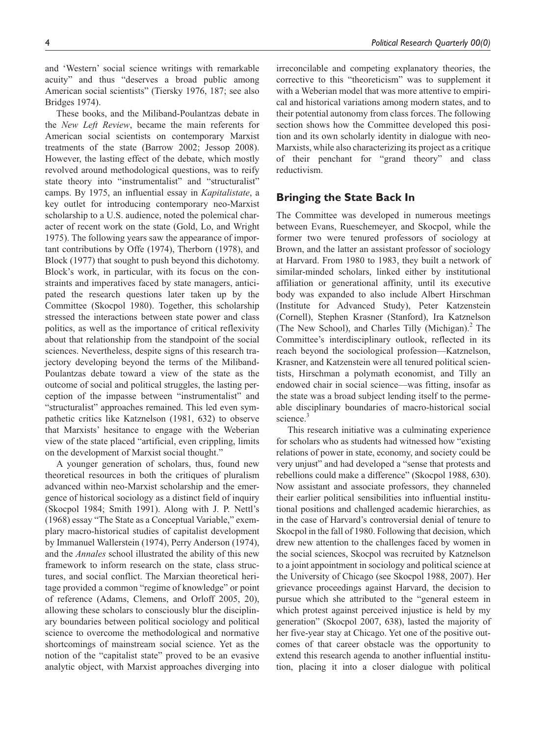and 'Western' social science writings with remarkable acuity" and thus "deserves a broad public among American social scientists" (Tiersky 1976, 187; see also Bridges 1974).

These books, and the Miliband-Poulantzas debate in the *New Left Review*, became the main referents for American social scientists on contemporary Marxist treatments of the state (Barrow 2002; Jessop 2008). However, the lasting effect of the debate, which mostly revolved around methodological questions, was to reify state theory into "instrumentalist" and "structuralist" camps. By 1975, an influential essay in *Kapitalistate*, a key outlet for introducing contemporary neo-Marxist scholarship to a U.S. audience, noted the polemical character of recent work on the state (Gold, Lo, and Wright 1975). The following years saw the appearance of important contributions by Offe (1974), Therborn (1978), and Block (1977) that sought to push beyond this dichotomy. Block's work, in particular, with its focus on the constraints and imperatives faced by state managers, anticipated the research questions later taken up by the Committee (Skocpol 1980). Together, this scholarship stressed the interactions between state power and class politics, as well as the importance of critical reflexivity about that relationship from the standpoint of the social sciences. Nevertheless, despite signs of this research trajectory developing beyond the terms of the Miliband-Poulantzas debate toward a view of the state as the outcome of social and political struggles, the lasting perception of the impasse between "instrumentalist" and "structuralist" approaches remained. This led even sympathetic critics like Katznelson (1981, 632) to observe that Marxists' hesitance to engage with the Weberian view of the state placed "artificial, even crippling, limits on the development of Marxist social thought."

A younger generation of scholars, thus, found new theoretical resources in both the critiques of pluralism advanced within neo-Marxist scholarship and the emergence of historical sociology as a distinct field of inquiry (Skocpol 1984; Smith 1991). Along with J. P. Nettl's (1968) essay "The State as a Conceptual Variable," exemplary macro-historical studies of capitalist development by Immanuel Wallerstein (1974), Perry Anderson (1974), and the *Annales* school illustrated the ability of this new framework to inform research on the state, class structures, and social conflict. The Marxian theoretical heritage provided a common "regime of knowledge" or point of reference (Adams, Clemens, and Orloff 2005, 20), allowing these scholars to consciously blur the disciplinary boundaries between political sociology and political science to overcome the methodological and normative shortcomings of mainstream social science. Yet as the notion of the "capitalist state" proved to be an evasive analytic object, with Marxist approaches diverging into irreconcilable and competing explanatory theories, the corrective to this "theoreticism" was to supplement it with a Weberian model that was more attentive to empirical and historical variations among modern states, and to their potential autonomy from class forces. The following section shows how the Committee developed this position and its own scholarly identity in dialogue with neo-Marxists, while also characterizing its project as a critique of their penchant for "grand theory" and class reductivism.

## **Bringing the State Back In**

The Committee was developed in numerous meetings between Evans, Rueschemeyer, and Skocpol, while the former two were tenured professors of sociology at Brown, and the latter an assistant professor of sociology at Harvard. From 1980 to 1983, they built a network of similar-minded scholars, linked either by institutional affiliation or generational affinity, until its executive body was expanded to also include Albert Hirschman (Institute for Advanced Study), Peter Katzenstein (Cornell), Stephen Krasner (Stanford), Ira Katznelson (The New School), and Charles Tilly (Michigan).<sup>2</sup> The Committee's interdisciplinary outlook, reflected in its reach beyond the sociological profession—Katznelson, Krasner, and Katzenstein were all tenured political scientists, Hirschman a polymath economist, and Tilly an endowed chair in social science—was fitting, insofar as the state was a broad subject lending itself to the permeable disciplinary boundaries of macro-historical social science.<sup>3</sup>

This research initiative was a culminating experience for scholars who as students had witnessed how "existing relations of power in state, economy, and society could be very unjust" and had developed a "sense that protests and rebellions could make a difference" (Skocpol 1988, 630). Now assistant and associate professors, they channeled their earlier political sensibilities into influential institutional positions and challenged academic hierarchies, as in the case of Harvard's controversial denial of tenure to Skocpol in the fall of 1980. Following that decision, which drew new attention to the challenges faced by women in the social sciences, Skocpol was recruited by Katznelson to a joint appointment in sociology and political science at the University of Chicago (see Skocpol 1988, 2007). Her grievance proceedings against Harvard, the decision to pursue which she attributed to the "general esteem in which protest against perceived injustice is held by my generation" (Skocpol 2007, 638), lasted the majority of her five-year stay at Chicago. Yet one of the positive outcomes of that career obstacle was the opportunity to extend this research agenda to another influential institution, placing it into a closer dialogue with political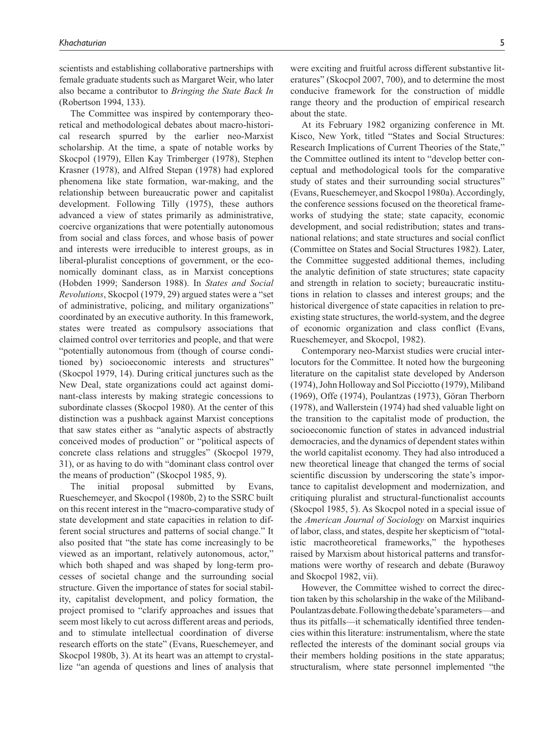scientists and establishing collaborative partnerships with female graduate students such as Margaret Weir, who later also became a contributor to *Bringing the State Back In* (Robertson 1994, 133).

The Committee was inspired by contemporary theoretical and methodological debates about macro-historical research spurred by the earlier neo-Marxist scholarship. At the time, a spate of notable works by Skocpol (1979), Ellen Kay Trimberger (1978), Stephen Krasner (1978), and Alfred Stepan (1978) had explored phenomena like state formation, war-making, and the relationship between bureaucratic power and capitalist development. Following Tilly (1975), these authors advanced a view of states primarily as administrative, coercive organizations that were potentially autonomous from social and class forces, and whose basis of power and interests were irreducible to interest groups, as in liberal-pluralist conceptions of government, or the economically dominant class, as in Marxist conceptions (Hobden 1999; Sanderson 1988). In *States and Social Revolutions*, Skocpol (1979, 29) argued states were a "set of administrative, policing, and military organizations" coordinated by an executive authority. In this framework, states were treated as compulsory associations that claimed control over territories and people, and that were "potentially autonomous from (though of course conditioned by) socioeconomic interests and structures" (Skocpol 1979, 14). During critical junctures such as the New Deal, state organizations could act against dominant-class interests by making strategic concessions to subordinate classes (Skocpol 1980). At the center of this distinction was a pushback against Marxist conceptions that saw states either as "analytic aspects of abstractly conceived modes of production" or "political aspects of concrete class relations and struggles" (Skocpol 1979, 31), or as having to do with "dominant class control over the means of production" (Skocpol 1985, 9).

The initial proposal submitted by Evans, Rueschemeyer, and Skocpol (1980b, 2) to the SSRC built on this recent interest in the "macro-comparative study of state development and state capacities in relation to different social structures and patterns of social change." It also posited that "the state has come increasingly to be viewed as an important, relatively autonomous, actor," which both shaped and was shaped by long-term processes of societal change and the surrounding social structure. Given the importance of states for social stability, capitalist development, and policy formation, the project promised to "clarify approaches and issues that seem most likely to cut across different areas and periods, and to stimulate intellectual coordination of diverse research efforts on the state" (Evans, Rueschemeyer, and Skocpol 1980b, 3). At its heart was an attempt to crystallize "an agenda of questions and lines of analysis that

were exciting and fruitful across different substantive literatures" (Skocpol 2007, 700), and to determine the most conducive framework for the construction of middle range theory and the production of empirical research about the state.

At its February 1982 organizing conference in Mt. Kisco, New York, titled "States and Social Structures: Research Implications of Current Theories of the State," the Committee outlined its intent to "develop better conceptual and methodological tools for the comparative study of states and their surrounding social structures" (Evans, Rueschemeyer, and Skocpol 1980a). Accordingly, the conference sessions focused on the theoretical frameworks of studying the state; state capacity, economic development, and social redistribution; states and transnational relations; and state structures and social conflict (Committee on States and Social Structures 1982). Later, the Committee suggested additional themes, including the analytic definition of state structures; state capacity and strength in relation to society; bureaucratic institutions in relation to classes and interest groups; and the historical divergence of state capacities in relation to preexisting state structures, the world-system, and the degree of economic organization and class conflict (Evans, Rueschemeyer, and Skocpol, 1982).

Contemporary neo-Marxist studies were crucial interlocutors for the Committee. It noted how the burgeoning literature on the capitalist state developed by Anderson (1974), John Holloway and Sol Picciotto (1979), Miliband (1969), Offe (1974), Poulantzas (1973), Göran Therborn (1978), and Wallerstein (1974) had shed valuable light on the transition to the capitalist mode of production, the socioeconomic function of states in advanced industrial democracies, and the dynamics of dependent states within the world capitalist economy. They had also introduced a new theoretical lineage that changed the terms of social scientific discussion by underscoring the state's importance to capitalist development and modernization, and critiquing pluralist and structural-functionalist accounts (Skocpol 1985, 5). As Skocpol noted in a special issue of the *American Journal of Sociology* on Marxist inquiries of labor, class, and states, despite her skepticism of "totalistic macrotheoretical frameworks," the hypotheses raised by Marxism about historical patterns and transformations were worthy of research and debate (Burawoy and Skocpol 1982, vii).

However, the Committee wished to correct the direction taken by this scholarship in the wake of the Miliband-Poulantzas debate. Following the debate's parameters—and thus its pitfalls—it schematically identified three tendencies within this literature: instrumentalism, where the state reflected the interests of the dominant social groups via their members holding positions in the state apparatus; structuralism, where state personnel implemented "the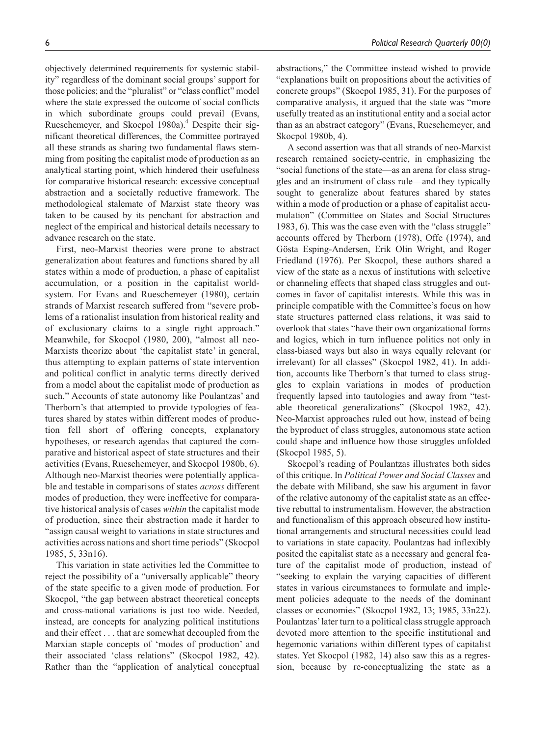objectively determined requirements for systemic stability" regardless of the dominant social groups' support for those policies; and the "pluralist" or "class conflict" model where the state expressed the outcome of social conflicts in which subordinate groups could prevail (Evans, Rueschemeyer, and Skocpol 1980a).<sup>4</sup> Despite their significant theoretical differences, the Committee portrayed all these strands as sharing two fundamental flaws stemming from positing the capitalist mode of production as an analytical starting point, which hindered their usefulness for comparative historical research: excessive conceptual abstraction and a societally reductive framework. The methodological stalemate of Marxist state theory was taken to be caused by its penchant for abstraction and neglect of the empirical and historical details necessary to advance research on the state.

First, neo-Marxist theories were prone to abstract generalization about features and functions shared by all states within a mode of production, a phase of capitalist accumulation, or a position in the capitalist worldsystem. For Evans and Rueschemeyer (1980), certain strands of Marxist research suffered from "severe problems of a rationalist insulation from historical reality and of exclusionary claims to a single right approach." Meanwhile, for Skocpol (1980, 200), "almost all neo-Marxists theorize about 'the capitalist state' in general, thus attempting to explain patterns of state intervention and political conflict in analytic terms directly derived from a model about the capitalist mode of production as such." Accounts of state autonomy like Poulantzas' and Therborn's that attempted to provide typologies of features shared by states within different modes of production fell short of offering concepts, explanatory hypotheses, or research agendas that captured the comparative and historical aspect of state structures and their activities (Evans, Rueschemeyer, and Skocpol 1980b, 6). Although neo-Marxist theories were potentially applicable and testable in comparisons of states *across* different modes of production, they were ineffective for comparative historical analysis of cases *within* the capitalist mode of production, since their abstraction made it harder to "assign causal weight to variations in state structures and activities across nations and short time periods" (Skocpol 1985, 5, 33n16).

This variation in state activities led the Committee to reject the possibility of a "universally applicable" theory of the state specific to a given mode of production. For Skocpol, "the gap between abstract theoretical concepts and cross-national variations is just too wide. Needed, instead, are concepts for analyzing political institutions and their effect . . . that are somewhat decoupled from the Marxian staple concepts of 'modes of production' and their associated 'class relations" (Skocpol 1982, 42). Rather than the "application of analytical conceptual abstractions," the Committee instead wished to provide "explanations built on propositions about the activities of concrete groups" (Skocpol 1985, 31). For the purposes of comparative analysis, it argued that the state was "more usefully treated as an institutional entity and a social actor than as an abstract category" (Evans, Rueschemeyer, and Skocpol 1980b, 4).

A second assertion was that all strands of neo-Marxist research remained society-centric, in emphasizing the "social functions of the state—as an arena for class struggles and an instrument of class rule—and they typically sought to generalize about features shared by states within a mode of production or a phase of capitalist accumulation" (Committee on States and Social Structures 1983, 6). This was the case even with the "class struggle" accounts offered by Therborn (1978), Offe (1974), and Gösta Esping-Andersen, Erik Olin Wright, and Roger Friedland (1976). Per Skocpol, these authors shared a view of the state as a nexus of institutions with selective or channeling effects that shaped class struggles and outcomes in favor of capitalist interests. While this was in principle compatible with the Committee's focus on how state structures patterned class relations, it was said to overlook that states "have their own organizational forms and logics, which in turn influence politics not only in class-biased ways but also in ways equally relevant (or irrelevant) for all classes" (Skocpol 1982, 41). In addition, accounts like Therborn's that turned to class struggles to explain variations in modes of production frequently lapsed into tautologies and away from "testable theoretical generalizations" (Skocpol 1982, 42). Neo-Marxist approaches ruled out how, instead of being the byproduct of class struggles, autonomous state action could shape and influence how those struggles unfolded (Skocpol 1985, 5).

Skocpol's reading of Poulantzas illustrates both sides of this critique. In *Political Power and Social Classes* and the debate with Miliband, she saw his argument in favor of the relative autonomy of the capitalist state as an effective rebuttal to instrumentalism. However, the abstraction and functionalism of this approach obscured how institutional arrangements and structural necessities could lead to variations in state capacity. Poulantzas had inflexibly posited the capitalist state as a necessary and general feature of the capitalist mode of production, instead of "seeking to explain the varying capacities of different states in various circumstances to formulate and implement policies adequate to the needs of the dominant classes or economies" (Skocpol 1982, 13; 1985, 33n22). Poulantzas' later turn to a political class struggle approach devoted more attention to the specific institutional and hegemonic variations within different types of capitalist states. Yet Skocpol (1982, 14) also saw this as a regression, because by re-conceptualizing the state as a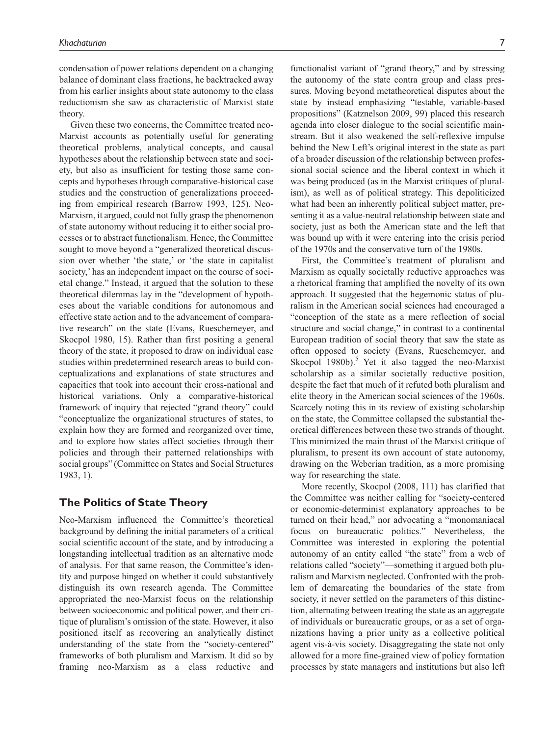condensation of power relations dependent on a changing balance of dominant class fractions, he backtracked away from his earlier insights about state autonomy to the class reductionism she saw as characteristic of Marxist state theory.

Given these two concerns, the Committee treated neo-Marxist accounts as potentially useful for generating theoretical problems, analytical concepts, and causal hypotheses about the relationship between state and society, but also as insufficient for testing those same concepts and hypotheses through comparative-historical case studies and the construction of generalizations proceeding from empirical research (Barrow 1993, 125). Neo-Marxism, it argued, could not fully grasp the phenomenon of state autonomy without reducing it to either social processes or to abstract functionalism. Hence, the Committee sought to move beyond a "generalized theoretical discussion over whether 'the state,' or 'the state in capitalist society,' has an independent impact on the course of soci-etal change." Instead, it argued that the solution to these theoretical dilemmas lay in the "development of hypotheses about the variable conditions for autonomous and effective state action and to the advancement of comparative research" on the state (Evans, Rueschemeyer, and Skocpol 1980, 15). Rather than first positing a general theory of the state, it proposed to draw on individual case studies within predetermined research areas to build conceptualizations and explanations of state structures and capacities that took into account their cross-national and historical variations. Only a comparative-historical framework of inquiry that rejected "grand theory" could "conceptualize the organizational structures of states, to explain how they are formed and reorganized over time, and to explore how states affect societies through their policies and through their patterned relationships with social groups" (Committee on States and Social Structures 1983, 1).

## **The Politics of State Theory**

Neo-Marxism influenced the Committee's theoretical background by defining the initial parameters of a critical social scientific account of the state, and by introducing a longstanding intellectual tradition as an alternative mode of analysis. For that same reason, the Committee's identity and purpose hinged on whether it could substantively distinguish its own research agenda. The Committee appropriated the neo-Marxist focus on the relationship between socioeconomic and political power, and their critique of pluralism's omission of the state. However, it also positioned itself as recovering an analytically distinct understanding of the state from the "society-centered" frameworks of both pluralism and Marxism. It did so by framing neo-Marxism as a class reductive and

functionalist variant of "grand theory," and by stressing the autonomy of the state contra group and class pressures. Moving beyond metatheoretical disputes about the state by instead emphasizing "testable, variable-based propositions" (Katznelson 2009, 99) placed this research agenda into closer dialogue to the social scientific mainstream. But it also weakened the self-reflexive impulse behind the New Left's original interest in the state as part of a broader discussion of the relationship between professional social science and the liberal context in which it was being produced (as in the Marxist critiques of pluralism), as well as of political strategy. This depoliticized what had been an inherently political subject matter, presenting it as a value-neutral relationship between state and society, just as both the American state and the left that was bound up with it were entering into the crisis period of the 1970s and the conservative turn of the 1980s.

First, the Committee's treatment of pluralism and Marxism as equally societally reductive approaches was a rhetorical framing that amplified the novelty of its own approach. It suggested that the hegemonic status of pluralism in the American social sciences had encouraged a "conception of the state as a mere reflection of social structure and social change," in contrast to a continental European tradition of social theory that saw the state as often opposed to society (Evans, Rueschemeyer, and Skocpol 1980b). $5$  Yet it also tagged the neo-Marxist scholarship as a similar societally reductive position, despite the fact that much of it refuted both pluralism and elite theory in the American social sciences of the 1960s. Scarcely noting this in its review of existing scholarship on the state, the Committee collapsed the substantial theoretical differences between these two strands of thought. This minimized the main thrust of the Marxist critique of pluralism, to present its own account of state autonomy, drawing on the Weberian tradition, as a more promising way for researching the state.

More recently, Skocpol (2008, 111) has clarified that the Committee was neither calling for "society-centered or economic-determinist explanatory approaches to be turned on their head," nor advocating a "monomaniacal focus on bureaucratic politics." Nevertheless, the Committee was interested in exploring the potential autonomy of an entity called "the state" from a web of relations called "society"—something it argued both pluralism and Marxism neglected. Confronted with the problem of demarcating the boundaries of the state from society, it never settled on the parameters of this distinction, alternating between treating the state as an aggregate of individuals or bureaucratic groups, or as a set of organizations having a prior unity as a collective political agent vis-à-vis society. Disaggregating the state not only allowed for a more fine-grained view of policy formation processes by state managers and institutions but also left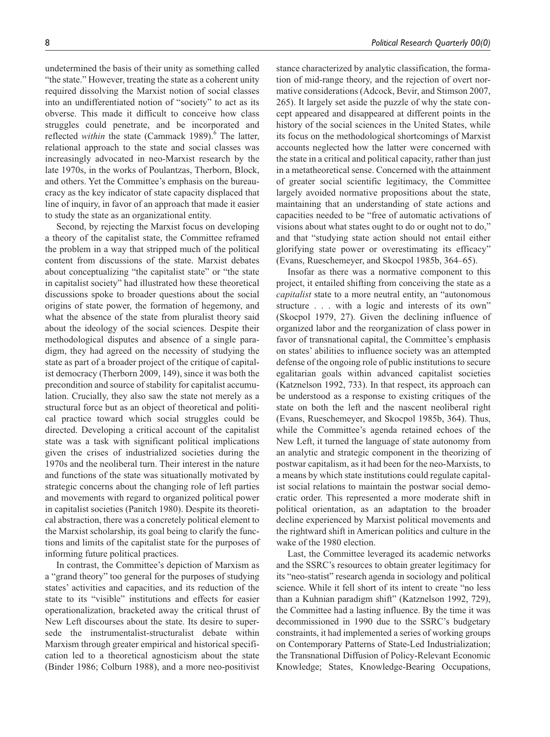undetermined the basis of their unity as something called "the state." However, treating the state as a coherent unity required dissolving the Marxist notion of social classes into an undifferentiated notion of "society" to act as its obverse. This made it difficult to conceive how class struggles could penetrate, and be incorporated and reflected *within* the state (Cammack 1989).<sup>6</sup> The latter, relational approach to the state and social classes was increasingly advocated in neo-Marxist research by the late 1970s, in the works of Poulantzas, Therborn, Block, and others. Yet the Committee's emphasis on the bureaucracy as the key indicator of state capacity displaced that line of inquiry, in favor of an approach that made it easier to study the state as an organizational entity.

Second, by rejecting the Marxist focus on developing a theory of the capitalist state, the Committee reframed the problem in a way that stripped much of the political content from discussions of the state. Marxist debates about conceptualizing "the capitalist state" or "the state in capitalist society" had illustrated how these theoretical discussions spoke to broader questions about the social origins of state power, the formation of hegemony, and what the absence of the state from pluralist theory said about the ideology of the social sciences. Despite their methodological disputes and absence of a single paradigm, they had agreed on the necessity of studying the state as part of a broader project of the critique of capitalist democracy (Therborn 2009, 149), since it was both the precondition and source of stability for capitalist accumulation. Crucially, they also saw the state not merely as a structural force but as an object of theoretical and political practice toward which social struggles could be directed. Developing a critical account of the capitalist state was a task with significant political implications given the crises of industrialized societies during the 1970s and the neoliberal turn. Their interest in the nature and functions of the state was situationally motivated by strategic concerns about the changing role of left parties and movements with regard to organized political power in capitalist societies (Panitch 1980). Despite its theoretical abstraction, there was a concretely political element to the Marxist scholarship, its goal being to clarify the functions and limits of the capitalist state for the purposes of informing future political practices.

In contrast, the Committee's depiction of Marxism as a "grand theory" too general for the purposes of studying states' activities and capacities, and its reduction of the state to its "visible" institutions and effects for easier operationalization, bracketed away the critical thrust of New Left discourses about the state. Its desire to supersede the instrumentalist-structuralist debate within Marxism through greater empirical and historical specification led to a theoretical agnosticism about the state (Binder 1986; Colburn 1988), and a more neo-positivist

stance characterized by analytic classification, the formation of mid-range theory, and the rejection of overt normative considerations (Adcock, Bevir, and Stimson 2007, 265). It largely set aside the puzzle of why the state concept appeared and disappeared at different points in the history of the social sciences in the United States, while its focus on the methodological shortcomings of Marxist accounts neglected how the latter were concerned with the state in a critical and political capacity, rather than just in a metatheoretical sense. Concerned with the attainment of greater social scientific legitimacy, the Committee largely avoided normative propositions about the state, maintaining that an understanding of state actions and capacities needed to be "free of automatic activations of visions about what states ought to do or ought not to do," and that "studying state action should not entail either glorifying state power or overestimating its efficacy" (Evans, Rueschemeyer, and Skocpol 1985b, 364–65).

Insofar as there was a normative component to this project, it entailed shifting from conceiving the state as a *capitalist* state to a more neutral entity, an "autonomous structure . . . with a logic and interests of its own" (Skocpol 1979, 27). Given the declining influence of organized labor and the reorganization of class power in favor of transnational capital, the Committee's emphasis on states' abilities to influence society was an attempted defense of the ongoing role of public institutions to secure egalitarian goals within advanced capitalist societies (Katznelson 1992, 733). In that respect, its approach can be understood as a response to existing critiques of the state on both the left and the nascent neoliberal right (Evans, Rueschemeyer, and Skocpol 1985b, 364). Thus, while the Committee's agenda retained echoes of the New Left, it turned the language of state autonomy from an analytic and strategic component in the theorizing of postwar capitalism, as it had been for the neo-Marxists, to a means by which state institutions could regulate capitalist social relations to maintain the postwar social democratic order. This represented a more moderate shift in political orientation, as an adaptation to the broader decline experienced by Marxist political movements and the rightward shift in American politics and culture in the wake of the 1980 election.

Last, the Committee leveraged its academic networks and the SSRC's resources to obtain greater legitimacy for its "neo-statist" research agenda in sociology and political science. While it fell short of its intent to create "no less than a Kuhnian paradigm shift" (Katznelson 1992, 729), the Committee had a lasting influence. By the time it was decommissioned in 1990 due to the SSRC's budgetary constraints, it had implemented a series of working groups on Contemporary Patterns of State-Led Industrialization; the Transnational Diffusion of Policy-Relevant Economic Knowledge; States, Knowledge-Bearing Occupations,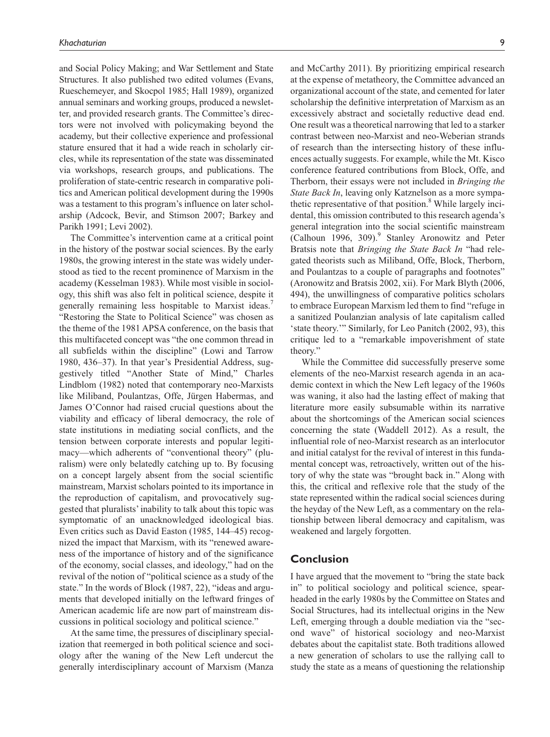and Social Policy Making; and War Settlement and State Structures. It also published two edited volumes (Evans, Rueschemeyer, and Skocpol 1985; Hall 1989), organized annual seminars and working groups, produced a newsletter, and provided research grants. The Committee's directors were not involved with policymaking beyond the academy, but their collective experience and professional stature ensured that it had a wide reach in scholarly circles, while its representation of the state was disseminated via workshops, research groups, and publications. The proliferation of state-centric research in comparative politics and American political development during the 1990s was a testament to this program's influence on later scholarship (Adcock, Bevir, and Stimson 2007; Barkey and Parikh 1991; Levi 2002).

The Committee's intervention came at a critical point in the history of the postwar social sciences. By the early 1980s, the growing interest in the state was widely understood as tied to the recent prominence of Marxism in the academy (Kesselman 1983). While most visible in sociology, this shift was also felt in political science, despite it generally remaining less hospitable to Marxist ideas.<sup>7</sup> "Restoring the State to Political Science" was chosen as the theme of the 1981 APSA conference, on the basis that this multifaceted concept was "the one common thread in all subfields within the discipline" (Lowi and Tarrow 1980, 436–37). In that year's Presidential Address, suggestively titled "Another State of Mind," Charles Lindblom (1982) noted that contemporary neo-Marxists like Miliband, Poulantzas, Offe, Jürgen Habermas, and James O'Connor had raised crucial questions about the viability and efficacy of liberal democracy, the role of state institutions in mediating social conflicts, and the tension between corporate interests and popular legitimacy—which adherents of "conventional theory" (pluralism) were only belatedly catching up to. By focusing on a concept largely absent from the social scientific mainstream, Marxist scholars pointed to its importance in the reproduction of capitalism, and provocatively suggested that pluralists' inability to talk about this topic was symptomatic of an unacknowledged ideological bias. Even critics such as David Easton (1985, 144–45) recognized the impact that Marxism, with its "renewed awareness of the importance of history and of the significance of the economy, social classes, and ideology," had on the revival of the notion of "political science as a study of the state." In the words of Block (1987, 22), "ideas and arguments that developed initially on the leftward fringes of American academic life are now part of mainstream discussions in political sociology and political science."

At the same time, the pressures of disciplinary specialization that reemerged in both political science and sociology after the waning of the New Left undercut the generally interdisciplinary account of Marxism (Manza and McCarthy 2011). By prioritizing empirical research at the expense of metatheory, the Committee advanced an organizational account of the state, and cemented for later scholarship the definitive interpretation of Marxism as an excessively abstract and societally reductive dead end. One result was a theoretical narrowing that led to a starker contrast between neo-Marxist and neo-Weberian strands of research than the intersecting history of these influences actually suggests. For example, while the Mt. Kisco conference featured contributions from Block, Offe, and Therborn, their essays were not included in *Bringing the State Back In*, leaving only Katznelson as a more sympathetic representative of that position.<sup>8</sup> While largely incidental, this omission contributed to this research agenda's general integration into the social scientific mainstream (Calhoun 1996, 309).<sup>9</sup> Stanley Aronowitz and Peter Bratsis note that *Bringing the State Back In* "had relegated theorists such as Miliband, Offe, Block, Therborn, and Poulantzas to a couple of paragraphs and footnotes" (Aronowitz and Bratsis 2002, xii). For Mark Blyth (2006, 494), the unwillingness of comparative politics scholars to embrace European Marxism led them to find "refuge in a sanitized Poulanzian analysis of late capitalism called 'state theory.'" Similarly, for Leo Panitch (2002, 93), this critique led to a "remarkable impoverishment of state theory."

While the Committee did successfully preserve some elements of the neo-Marxist research agenda in an academic context in which the New Left legacy of the 1960s was waning, it also had the lasting effect of making that literature more easily subsumable within its narrative about the shortcomings of the American social sciences concerning the state (Waddell 2012). As a result, the influential role of neo-Marxist research as an interlocutor and initial catalyst for the revival of interest in this fundamental concept was, retroactively, written out of the history of why the state was "brought back in." Along with this, the critical and reflexive role that the study of the state represented within the radical social sciences during the heyday of the New Left, as a commentary on the relationship between liberal democracy and capitalism, was weakened and largely forgotten.

### **Conclusion**

I have argued that the movement to "bring the state back in" to political sociology and political science, spearheaded in the early 1980s by the Committee on States and Social Structures, had its intellectual origins in the New Left, emerging through a double mediation via the "second wave" of historical sociology and neo-Marxist debates about the capitalist state. Both traditions allowed a new generation of scholars to use the rallying call to study the state as a means of questioning the relationship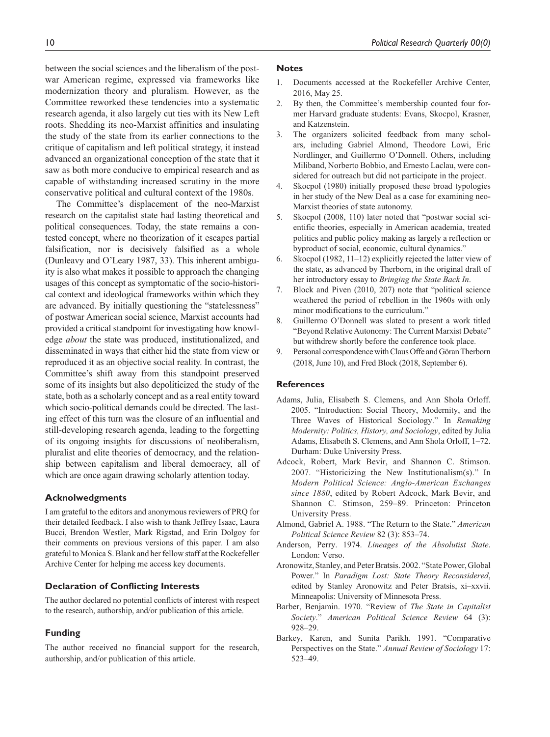between the social sciences and the liberalism of the postwar American regime, expressed via frameworks like modernization theory and pluralism. However, as the Committee reworked these tendencies into a systematic research agenda, it also largely cut ties with its New Left roots. Shedding its neo-Marxist affinities and insulating the study of the state from its earlier connections to the critique of capitalism and left political strategy, it instead advanced an organizational conception of the state that it saw as both more conducive to empirical research and as capable of withstanding increased scrutiny in the more conservative political and cultural context of the 1980s.

The Committee's displacement of the neo-Marxist research on the capitalist state had lasting theoretical and political consequences. Today, the state remains a contested concept, where no theorization of it escapes partial falsification, nor is decisively falsified as a whole (Dunleavy and O'Leary 1987, 33). This inherent ambiguity is also what makes it possible to approach the changing usages of this concept as symptomatic of the socio-historical context and ideological frameworks within which they are advanced. By initially questioning the "statelessness" of postwar American social science, Marxist accounts had provided a critical standpoint for investigating how knowledge *about* the state was produced, institutionalized, and disseminated in ways that either hid the state from view or reproduced it as an objective social reality. In contrast, the Committee's shift away from this standpoint preserved some of its insights but also depoliticized the study of the state, both as a scholarly concept and as a real entity toward which socio-political demands could be directed. The lasting effect of this turn was the closure of an influential and still-developing research agenda, leading to the forgetting of its ongoing insights for discussions of neoliberalism, pluralist and elite theories of democracy, and the relationship between capitalism and liberal democracy, all of which are once again drawing scholarly attention today.

#### **Acknolwedgments**

I am grateful to the editors and anonymous reviewers of PRQ for their detailed feedback. I also wish to thank Jeffrey Isaac, Laura Bucci, Brendon Westler, Mark Rigstad, and Erin Dolgoy for their comments on previous versions of this paper. I am also grateful to Monica S. Blank and her fellow staff at the Rockefeller Archive Center for helping me access key documents.

#### **Declaration of Conflicting Interests**

The author declared no potential conflicts of interest with respect to the research, authorship, and/or publication of this article.

#### **Funding**

The author received no financial support for the research, authorship, and/or publication of this article.

#### **Notes**

- 1. Documents accessed at the Rockefeller Archive Center, 2016, May 25.
- 2. By then, the Committee's membership counted four former Harvard graduate students: Evans, Skocpol, Krasner, and Katzenstein.
- 3. The organizers solicited feedback from many scholars, including Gabriel Almond, Theodore Lowi, Eric Nordlinger, and Guillermo O'Donnell. Others, including Miliband, Norberto Bobbio, and Ernesto Laclau, were considered for outreach but did not participate in the project.
- 4. Skocpol (1980) initially proposed these broad typologies in her study of the New Deal as a case for examining neo-Marxist theories of state autonomy.
- 5. Skocpol (2008, 110) later noted that "postwar social scientific theories, especially in American academia, treated politics and public policy making as largely a reflection or byproduct of social, economic, cultural dynamics."
- 6. Skocpol (1982, 11–12) explicitly rejected the latter view of the state, as advanced by Therborn, in the original draft of her introductory essay to *Bringing the State Back In*.
- 7. Block and Piven (2010, 207) note that "political science weathered the period of rebellion in the 1960s with only minor modifications to the curriculum."
- 8. Guillermo O'Donnell was slated to present a work titled "Beyond Relative Autonomy: The Current Marxist Debate" but withdrew shortly before the conference took place.
- 9. Personal correspondence with Claus Offe and Göran Therborn (2018, June 10), and Fred Block (2018, September 6).

#### **References**

- Adams, Julia, Elisabeth S. Clemens, and Ann Shola Orloff. 2005. "Introduction: Social Theory, Modernity, and the Three Waves of Historical Sociology." In *Remaking Modernity: Politics, History, and Sociology*, edited by Julia Adams, Elisabeth S. Clemens, and Ann Shola Orloff, 1–72. Durham: Duke University Press.
- Adcock, Robert, Mark Bevir, and Shannon C. Stimson. 2007. "Historicizing the New Institutionalism(s)." In *Modern Political Science: Anglo-American Exchanges since 1880*, edited by Robert Adcock, Mark Bevir, and Shannon C. Stimson, 259–89. Princeton: Princeton University Press.
- Almond, Gabriel A. 1988. "The Return to the State." *American Political Science Review* 82 (3): 853–74.
- Anderson, Perry. 1974. *Lineages of the Absolutist State*. London: Verso.
- Aronowitz, Stanley, and Peter Bratsis. 2002. "State Power, Global Power." In *Paradigm Lost: State Theory Reconsidered*, edited by Stanley Aronowitz and Peter Bratsis, xi–xxvii. Minneapolis: University of Minnesota Press.
- Barber, Benjamin. 1970. "Review of *The State in Capitalist Society*." *American Political Science Review* 64 (3): 928–29.
- Barkey, Karen, and Sunita Parikh. 1991. "Comparative Perspectives on the State." *Annual Review of Sociology* 17: 523–49.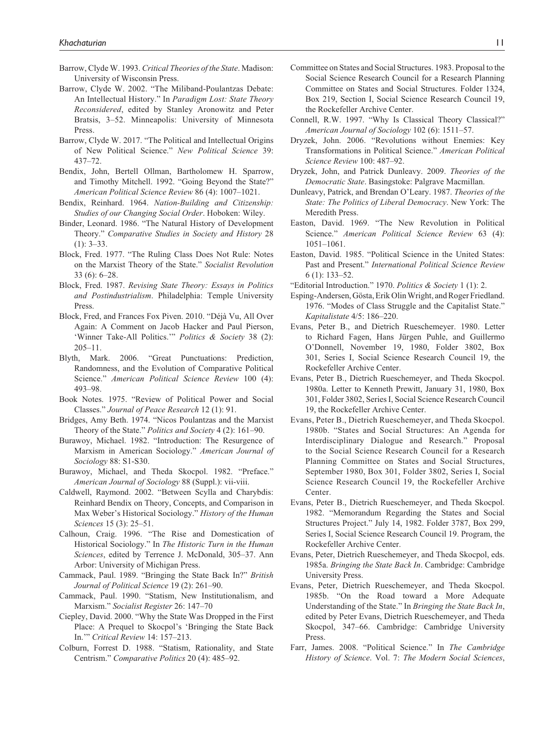- Barrow, Clyde W. 1993. *Critical Theories of the State*. Madison: University of Wisconsin Press.
- Barrow, Clyde W. 2002. "The Miliband-Poulantzas Debate: An Intellectual History." In *Paradigm Lost: State Theory Reconsidered*, edited by Stanley Aronowitz and Peter Bratsis, 3–52. Minneapolis: University of Minnesota Press.
- Barrow, Clyde W. 2017. "The Political and Intellectual Origins of New Political Science." *New Political Science* 39: 437–72.
- Bendix, John, Bertell Ollman, Bartholomew H. Sparrow, and Timothy Mitchell. 1992. "Going Beyond the State?" *American Political Science Review* 86 (4): 1007–1021.
- Bendix, Reinhard. 1964. *Nation-Building and Citizenship: Studies of our Changing Social Order*. Hoboken: Wiley.
- Binder, Leonard. 1986. "The Natural History of Development Theory." *Comparative Studies in Society and History* 28  $(1): 3-33.$
- Block, Fred. 1977. "The Ruling Class Does Not Rule: Notes on the Marxist Theory of the State." *Socialist Revolution* 33 (6): 6–28.
- Block, Fred. 1987. *Revising State Theory: Essays in Politics and Postindustrialism*. Philadelphia: Temple University Press.
- Block, Fred, and Frances Fox Piven. 2010. "Déjà Vu, All Over Again: A Comment on Jacob Hacker and Paul Pierson, 'Winner Take-All Politics.'" *Politics & Society* 38 (2): 205–11.
- Blyth, Mark. 2006. "Great Punctuations: Prediction, Randomness, and the Evolution of Comparative Political Science." *American Political Science Review* 100 (4): 493–98.
- Book Notes. 1975. "Review of Political Power and Social Classes." *Journal of Peace Research* 12 (1): 91.
- Bridges, Amy Beth. 1974. "Nicos Poulantzas and the Marxist Theory of the State." *Politics and Society* 4 (2): 161–90.
- Burawoy, Michael. 1982. "Introduction: The Resurgence of Marxism in American Sociology." *American Journal of Sociology* 88: S1-S30.
- Burawoy, Michael, and Theda Skocpol. 1982. "Preface." *American Journal of Sociology* 88 (Suppl.): vii-viii.
- Caldwell, Raymond. 2002. "Between Scylla and Charybdis: Reinhard Bendix on Theory, Concepts, and Comparison in Max Weber's Historical Sociology." *History of the Human Sciences* 15 (3): 25–51.
- Calhoun, Craig. 1996. "The Rise and Domestication of Historical Sociology." In *The Historic Turn in the Human Sciences*, edited by Terrence J. McDonald, 305–37. Ann Arbor: University of Michigan Press.
- Cammack, Paul. 1989. "Bringing the State Back In?" *British Journal of Political Science* 19 (2): 261–90.
- Cammack, Paul. 1990. "Statism, New Institutionalism, and Marxism." *Socialist Register* 26: 147–70
- Ciepley, David. 2000. "Why the State Was Dropped in the First Place: A Prequel to Skocpol's 'Bringing the State Back In.'" *Critical Review* 14: 157–213.
- Colburn, Forrest D. 1988. "Statism, Rationality, and State Centrism." *Comparative Politics* 20 (4): 485–92.
- Committee on States and Social Structures. 1983. Proposal to the Social Science Research Council for a Research Planning Committee on States and Social Structures. Folder 1324, Box 219, Section I, Social Science Research Council 19, the Rockefeller Archive Center.
- Connell, R.W. 1997. "Why Is Classical Theory Classical?" *American Journal of Sociology* 102 (6): 1511–57.
- Dryzek, John. 2006. "Revolutions without Enemies: Key Transformations in Political Science." *American Political Science Review* 100: 487–92.
- Dryzek, John, and Patrick Dunleavy. 2009. *Theories of the Democratic State*. Basingstoke: Palgrave Macmillan.
- Dunleavy, Patrick, and Brendan O'Leary. 1987. *Theories of the State: The Politics of Liberal Democracy*. New York: The Meredith Press.
- Easton, David. 1969. "The New Revolution in Political Science." *American Political Science Review* 63 (4): 1051–1061.
- Easton, David. 1985. "Political Science in the United States: Past and Present." *International Political Science Review* 6 (1): 133–52.
- "Editorial Introduction." 1970. *Politics & Society* 1 (1): 2.
- Esping-Andersen, Gösta, Erik Olin Wright, and Roger Friedland. 1976. "Modes of Class Struggle and the Capitalist State." *Kapitalistate* 4/5: 186–220.
- Evans, Peter B., and Dietrich Rueschemeyer. 1980. Letter to Richard Fagen, Hans Jürgen Puhle, and Guillermo O'Donnell, November 19, 1980, Folder 3802, Box 301, Series I, Social Science Research Council 19, the Rockefeller Archive Center.
- Evans, Peter B., Dietrich Rueschemeyer, and Theda Skocpol. 1980a. Letter to Kenneth Prewitt, January 31, 1980, Box 301, Folder 3802, Series I, Social Science Research Council 19, the Rockefeller Archive Center.
- Evans, Peter B., Dietrich Rueschemeyer, and Theda Skocpol. 1980b. "States and Social Structures: An Agenda for Interdisciplinary Dialogue and Research." Proposal to the Social Science Research Council for a Research Planning Committee on States and Social Structures, September 1980, Box 301, Folder 3802, Series I, Social Science Research Council 19, the Rockefeller Archive Center.
- Evans, Peter B., Dietrich Rueschemeyer, and Theda Skocpol. 1982. "Memorandum Regarding the States and Social Structures Project." July 14, 1982. Folder 3787, Box 299, Series I, Social Science Research Council 19. Program, the Rockefeller Archive Center.
- Evans, Peter, Dietrich Rueschemeyer, and Theda Skocpol, eds. 1985a. *Bringing the State Back In*. Cambridge: Cambridge University Press.
- Evans, Peter, Dietrich Rueschemeyer, and Theda Skocpol. 1985b. "On the Road toward a More Adequate Understanding of the State." In *Bringing the State Back In*, edited by Peter Evans, Dietrich Rueschemeyer, and Theda Skocpol, 347–66. Cambridge: Cambridge University Press.
- Farr, James. 2008. "Political Science." In *The Cambridge History of Science*. Vol. 7: *The Modern Social Sciences*,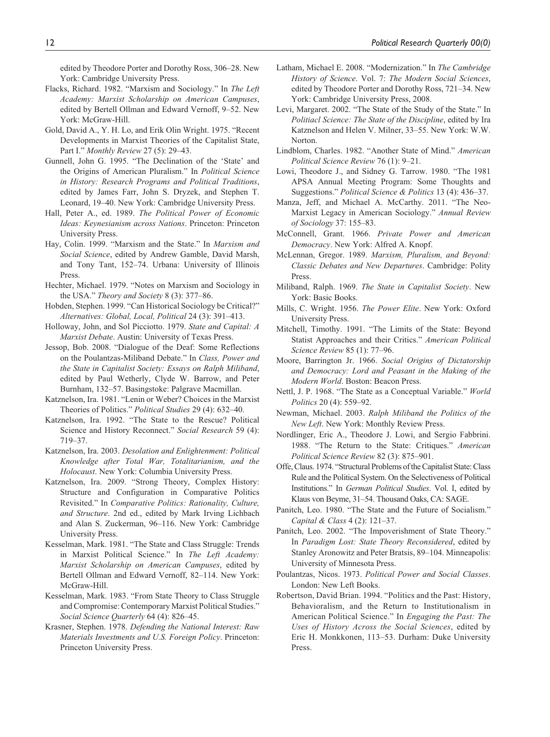edited by Theodore Porter and Dorothy Ross, 306–28. New York: Cambridge University Press.

- Flacks, Richard. 1982. "Marxism and Sociology." In *The Left Academy: Marxist Scholarship on American Campuses*, edited by Bertell Ollman and Edward Vernoff, 9–52. New York: McGraw-Hill.
- Gold, David A., Y. H. Lo, and Erik Olin Wright. 1975. "Recent Developments in Marxist Theories of the Capitalist State, Part I." *Monthly Review* 27 (5): 29–43.
- Gunnell, John G. 1995. "The Declination of the 'State' and the Origins of American Pluralism." In *Political Science in History: Research Programs and Political Traditions*, edited by James Farr, John S. Dryzek, and Stephen T. Leonard, 19–40. New York: Cambridge University Press.
- Hall, Peter A., ed. 1989. *The Political Power of Economic Ideas: Keynesianism across Nations*. Princeton: Princeton University Press.
- Hay, Colin. 1999. "Marxism and the State." In *Marxism and Social Science*, edited by Andrew Gamble, David Marsh, and Tony Tant, 152–74. Urbana: University of Illinois Press.
- Hechter, Michael. 1979. "Notes on Marxism and Sociology in the USA." *Theory and Society* 8 (3): 377–86.
- Hobden, Stephen. 1999. "Can Historical Sociology be Critical?" *Alternatives: Global, Local, Political* 24 (3): 391–413.
- Holloway, John, and Sol Picciotto. 1979. *State and Capital: A Marxist Debate*. Austin: University of Texas Press.
- Jessop, Bob. 2008. "Dialogue of the Deaf: Some Reflections on the Poulantzas-Miliband Debate." In *Class, Power and the State in Capitalist Society: Essays on Ralph Miliband*, edited by Paul Wetherly, Clyde W. Barrow, and Peter Burnham, 132–57. Basingstoke: Palgrave Macmillan.
- Katznelson, Ira. 1981. "Lenin or Weber? Choices in the Marxist Theories of Politics." *Political Studies* 29 (4): 632–40.
- Katznelson, Ira. 1992. "The State to the Rescue? Political Science and History Reconnect." *Social Research* 59 (4): 719–37.
- Katznelson, Ira. 2003. *Desolation and Enlightenment: Political Knowledge after Total War, Totalitarianism, and the Holocaust*. New York: Columbia University Press.
- Katznelson, Ira. 2009. "Strong Theory, Complex History: Structure and Configuration in Comparative Politics Revisited." In *Comparative Politics: Rationality, Culture, and Structure*. 2nd ed., edited by Mark Irving Lichbach and Alan S. Zuckerman, 96–116. New York: Cambridge University Press.
- Kesselman, Mark. 1981. "The State and Class Struggle: Trends in Marxist Political Science." In *The Left Academy: Marxist Scholarship on American Campuses*, edited by Bertell Ollman and Edward Vernoff, 82–114. New York: McGraw-Hill.
- Kesselman, Mark. 1983. "From State Theory to Class Struggle and Compromise: Contemporary Marxist Political Studies." *Social Science Quarterly* 64 (4): 826–45.
- Krasner, Stephen. 1978. *Defending the National Interest: Raw Materials Investments and U.S. Foreign Policy*. Princeton: Princeton University Press.
- Latham, Michael E. 2008. "Modernization." In *The Cambridge History of Science*. Vol. 7: *The Modern Social Sciences*, edited by Theodore Porter and Dorothy Ross, 721–34. New York: Cambridge University Press, 2008.
- Levi, Margaret. 2002. "The State of the Study of the State." In *Politiacl Science: The State of the Discipline*, edited by Ira Katznelson and Helen V. Milner, 33–55. New York: W.W. Norton.
- Lindblom, Charles. 1982. "Another State of Mind." *American Political Science Review* 76 (1): 9–21.
- Lowi, Theodore J., and Sidney G. Tarrow. 1980. "The 1981 APSA Annual Meeting Program: Some Thoughts and Suggestions." *Political Science & Politics* 13 (4): 436–37.
- Manza, Jeff, and Michael A. McCarthy. 2011. "The Neo-Marxist Legacy in American Sociology." *Annual Review of Sociology* 37: 155–83.
- McConnell, Grant. 1966. *Private Power and American Democracy*. New York: Alfred A. Knopf.
- McLennan, Gregor. 1989. *Marxism, Pluralism, and Beyond: Classic Debates and New Departures*. Cambridge: Polity Press.
- Miliband, Ralph. 1969. *The State in Capitalist Society*. New York: Basic Books.
- Mills, C. Wright. 1956. *The Power Elite*. New York: Oxford University Press.
- Mitchell, Timothy. 1991. "The Limits of the State: Beyond Statist Approaches and their Critics." *American Political Science Review* 85 (1): 77–96.
- Moore, Barrington Jr. 1966. *Social Origins of Dictatorship and Democracy: Lord and Peasant in the Making of the Modern World*. Boston: Beacon Press.
- Nettl, J. P. 1968. "The State as a Conceptual Variable." *World Politics* 20 (4): 559–92.
- Newman, Michael. 2003. *Ralph Miliband the Politics of the New Left*. New York: Monthly Review Press.
- Nordlinger, Eric A., Theodore J. Lowi, and Sergio Fabbrini. 1988. "The Return to the State: Critiques." *American Political Science Review* 82 (3): 875–901.
- Offe, Claus. 1974. "Structural Problems of the Capitalist State: Class Rule and the Political System. On the Selectiveness of Political Institutions." In *German Political Studies*. Vol. I, edited by Klaus von Beyme, 31–54. Thousand Oaks, CA: SAGE.
- Panitch, Leo. 1980. "The State and the Future of Socialism." *Capital & Class* 4 (2): 121–37.
- Panitch, Leo. 2002. "The Impoverishment of State Theory." In *Paradigm Lost: State Theory Reconsidered*, edited by Stanley Aronowitz and Peter Bratsis, 89–104. Minneapolis: University of Minnesota Press.
- Poulantzas, Nicos. 1973. *Political Power and Social Classes*. London: New Left Books.
- Robertson, David Brian. 1994. "Politics and the Past: History, Behavioralism, and the Return to Institutionalism in American Political Science." In *Engaging the Past: The Uses of History Across the Social Sciences*, edited by Eric H. Monkkonen, 113–53. Durham: Duke University Press.